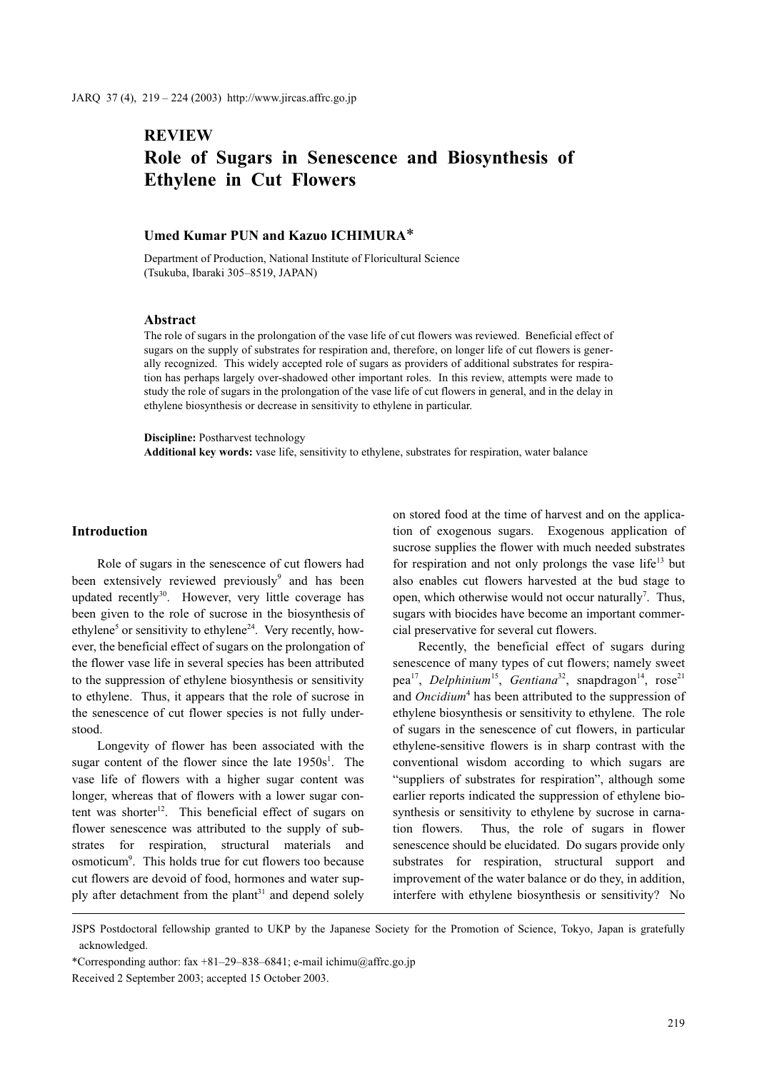# **REVIEW** Role of Sugars in Senescence and Biosynthesis of Ethylene in Cut Flowers

## Umed Kumar PUN and Kazuo ICHIMURA\*

Department of Production, National Institute of Floricultural Science (Tsukuba, Ibaraki 305–8519, JAPAN)

#### **Abstract**

The role of sugars in the prolongation of the vase life of cut flowers was reviewed. Beneficial effect of sugars on the supply of substrates for respiration and, therefore, on longer life of cut flowers is generally recognized. This widely accepted role of sugars as providers of additional substrates for respiration has perhaps largely over-shadowed other important roles. In this review, attempts were made to study the role of sugars in the prolongation of the vase life of cut flowers in general, and in the delay in ethylene biosynthesis or decrease in sensitivity to ethylene in particular.

Discipline: Postharvest technology Additional key words: vase life, sensitivity to ethylene, substrates for respiration, water balance

### Introduction

Role of sugars in the senescence of cut flowers had been extensively reviewed previously<sup>9</sup> and has been updated recently<sup>30</sup>. However, very little coverage has been given to the role of sucrose in the biosynthesis of ethylene<sup>5</sup> or sensitivity to ethylene<sup>24</sup>. Very recently, however, the beneficial effect of sugars on the prolongation of the flower vase life in several species has been attributed to the suppression of ethylene biosynthesis or sensitivity to ethylene. Thus, it appears that the role of sucrose in the senescence of cut flower species is not fully understood.

Longevity of flower has been associated with the sugar content of the flower since the late  $1950s^1$ . The vase life of flowers with a higher sugar content was longer, whereas that of flowers with a lower sugar content was shorter $12$ . This beneficial effect of sugars on flower senescence was attributed to the supply of substrates for respiration, structural materials and osmoticum<sup>9</sup>. This holds true for cut flowers too because cut flowers are devoid of food, hormones and water supply after detachment from the plant<sup>31</sup> and depend solely on stored food at the time of harvest and on the application of exogenous sugars. Exogenous application of sucrose supplies the flower with much needed substrates for respiration and not only prolongs the vase life<sup>13</sup> but also enables cut flowers harvested at the bud stage to open, which otherwise would not occur naturally<sup>7</sup>. Thus, sugars with biocides have become an important commercial preservative for several cut flowers.

Recently, the beneficial effect of sugars during senescence of many types of cut flowers; namely sweet pea<sup>17</sup>, Delphinium<sup>15</sup>, Gentiana<sup>32</sup>, snapdragon<sup>14</sup>, rose<sup>21</sup> and Oncidium<sup>4</sup> has been attributed to the suppression of ethylene biosynthesis or sensitivity to ethylene. The role of sugars in the senescence of cut flowers, in particular ethylene-sensitive flowers is in sharp contrast with the conventional wisdom according to which sugars are "suppliers of substrates for respiration", although some earlier reports indicated the suppression of ethylene biosynthesis or sensitivity to ethylene by sucrose in carnation flowers. Thus, the role of sugars in flower senescence should be elucidated. Do sugars provide only substrates for respiration, structural support and improvement of the water balance or do they, in addition, interfere with ethylene biosynthesis or sensitivity? No

JSPS Postdoctoral fellowship granted to UKP by the Japanese Society for the Promotion of Science, Tokyo, Japan is gratefully acknowledged.

<sup>\*</sup>Corresponding author: fax +81–29–838–6841; e-mail ichimu@affrc.go.jp

Received 2 September 2003; accepted 15 October 2003.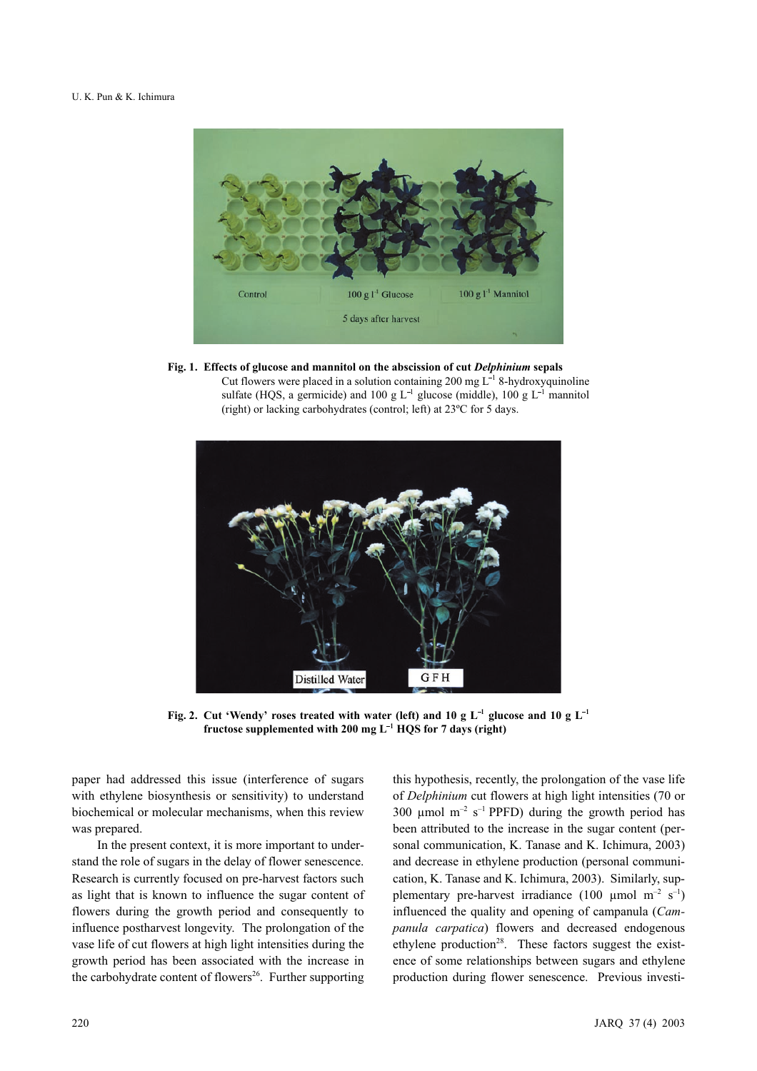

Fig. 1. Effects of glucose and mannitol on the abscission of cut Delphinium sepals Cut flowers were placed in a solution containing 200 mg  $L^{-1}$  8-hydroxyquinoline sulfate (HQS, a germicide) and 100 g  $L^{-1}$  glucose (middle), 100 g  $L^{-1}$  mannitol (right) or lacking carbohydrates (control; left) at 23ºC for 5 days.



Fig. 2. Cut 'Wendy' roses treated with water (left) and 10 g  $\mathrm{L}^{-1}$  glucose and 10 g  $\mathrm{L}^{-1}$ fructose supplemented with 200 mg  $L^{-1}$  HQS for 7 days (right)

paper had addressed this issue (interference of sugars with ethylene biosynthesis or sensitivity) to understand biochemical or molecular mechanisms, when this review was prepared.

In the present context, it is more important to understand the role of sugars in the delay of flower senescence. Research is currently focused on pre-harvest factors such as light that is known to influence the sugar content of flowers during the growth period and consequently to influence postharvest longevity. The prolongation of the vase life of cut flowers at high light intensities during the growth period has been associated with the increase in the carbohydrate content of flowers<sup>26</sup>. Further supporting this hypothesis, recently, the prolongation of the vase life of Delphinium cut flowers at high light intensities (70 or 300  $\mu$ mol m<sup>-2</sup> s<sup>-1</sup> PPFD) during the growth period has been attributed to the increase in the sugar content (personal communication, K. Tanase and K. Ichimura, 2003) and decrease in ethylene production (personal communication, K. Tanase and K. Ichimura, 2003). Similarly, supplementary pre-harvest irradiance (100 µmol m<sup>-2</sup> s<sup>-1</sup>) influenced the quality and opening of campanula (Campanula carpatica) flowers and decreased endogenous ethylene production<sup>28</sup>. These factors suggest the existence of some relationships between sugars and ethylene production during flower senescence. Previous investi-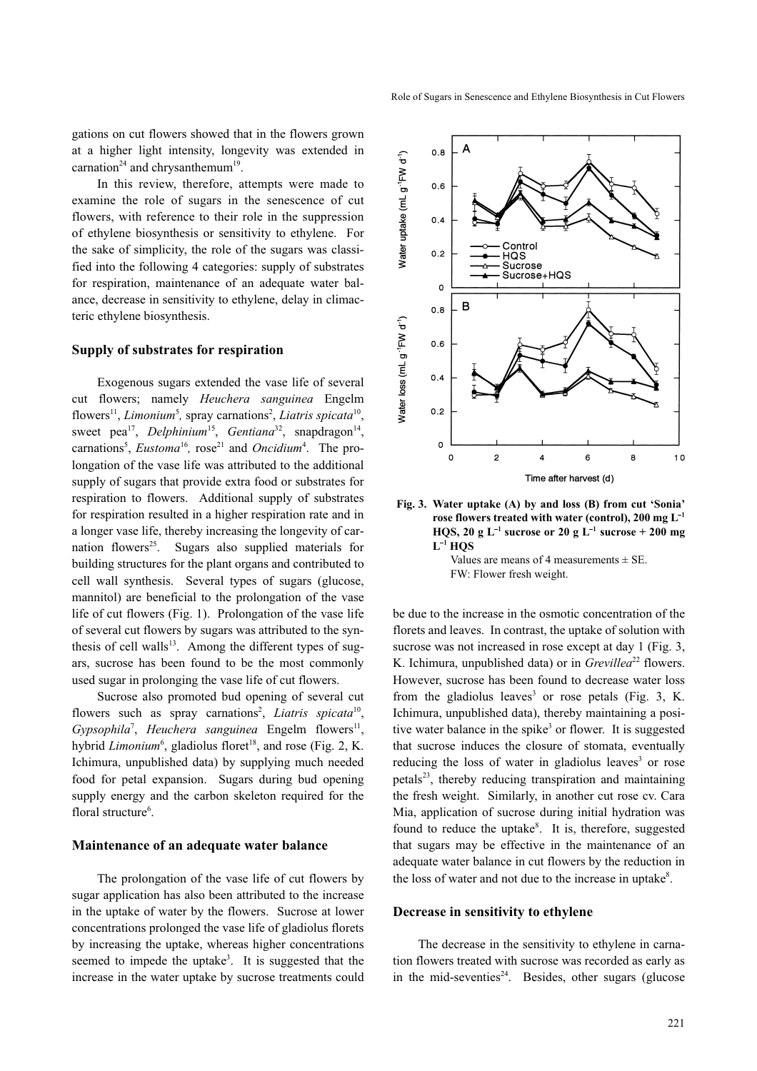gations on cut flowers showed that in the flowers grown at a higher light intensity, longevity was extended in carnation<sup>24</sup> and chrysanthemum<sup>19</sup>.

In this review, therefore, attempts were made to examine the role of sugars in the senescence of cut flowers, with reference to their role in the suppression of ethylene biosynthesis or sensitivity to ethylene. For the sake of simplicity, the role of the sugars was classified into the following 4 categories: supply of substrates for respiration, maintenance of an adequate water balance, decrease in sensitivity to ethylene, delay in climacteric ethylene biosynthesis.

## Supply of substrates for respiration

Exogenous sugars extended the vase life of several cut flowers; namely Heuchera sanguinea Engelm flowers<sup>11</sup>, Limonium<sup>5</sup>, spray carnations<sup>2</sup>, Liatris spicata<sup>10</sup>, sweet pea<sup>17</sup>, Delphinium<sup>15</sup>, Gentiana<sup>32</sup>, snapdragon<sup>14</sup>, carnations<sup>5</sup>, *Eustoma*<sup>16</sup>, rose<sup>21</sup> and *Oncidium*<sup>4</sup>. The prolongation of the vase life was attributed to the additional supply of sugars that provide extra food or substrates for respiration to flowers. Additional supply of substrates for respiration resulted in a higher respiration rate and in a longer vase life, thereby increasing the longevity of carnation flowers<sup>25</sup>. Sugars also supplied materials for building structures for the plant organs and contributed to cell wall synthesis. Several types of sugars (glucose, mannitol) are beneficial to the prolongation of the vase life of cut flowers (Fig. 1). Prolongation of the vase life of several cut flowers by sugars was attributed to the synthesis of cell walls<sup>13</sup>. Among the different types of sugars, sucrose has been found to be the most commonly used sugar in prolonging the vase life of cut flowers.

Sucrose also promoted bud opening of several cut flowers such as spray carnations<sup>2</sup>, Liatris spicata<sup>10</sup>,  $Gypsophila^7$ , Heuchera sanguinea Engelm flowers<sup>11</sup>, hybrid *Limonium*<sup>6</sup>, gladiolus floret<sup>18</sup>, and rose (Fig. 2, K. Ichimura, unpublished data) by supplying much needed food for petal expansion. Sugars during bud opening supply energy and the carbon skeleton required for the floral structure<sup>6</sup>.

## Maintenance of an adequate water balance

The prolongation of the vase life of cut flowers by sugar application has also been attributed to the increase in the uptake of water by the flowers. Sucrose at lower concentrations prolonged the vase life of gladiolus florets by increasing the uptake, whereas higher concentrations seemed to impede the uptake<sup>3</sup>. It is suggested that the increase in the water uptake by sucrose treatments could



Fig. 3. Water uptake (A) by and loss (B) from cut 'Sonia' rose flowers treated with water (control), 200 mg  $\mathrm{L}^{-1}$ HQS, 20 g L<sup>-1</sup> sucrose or 20 g L<sup>-1</sup> sucrose + 200 mg L- HQS

Values are means of 4 measurements  $\pm$  SE. FW: Flower fresh weight.

be due to the increase in the osmotic concentration of the florets and leaves. In contrast, the uptake of solution with sucrose was not increased in rose except at day 1 (Fig. 3, K. Ichimura, unpublished data) or in  $Grevillea^{22}$  flowers. However, sucrose has been found to decrease water loss from the gladiolus leaves<sup>3</sup> or rose petals (Fig. 3, K. Ichimura, unpublished data), thereby maintaining a positive water balance in the spike<sup>3</sup> or flower. It is suggested that sucrose induces the closure of stomata, eventually reducing the loss of water in gladiolus leaves<sup>3</sup> or rose petals<sup>23</sup>, thereby reducing transpiration and maintaining the fresh weight. Similarly, in another cut rose cv. Cara Mia, application of sucrose during initial hydration was found to reduce the uptake<sup>8</sup>. It is, therefore, suggested that sugars may be effective in the maintenance of an adequate water balance in cut flowers by the reduction in the loss of water and not due to the increase in uptake<sup>8</sup>.

#### Decrease in sensitivity to ethylene

The decrease in the sensitivity to ethylene in carnation flowers treated with sucrose was recorded as early as in the mid-seventies<sup>24</sup>. Besides, other sugars (glucose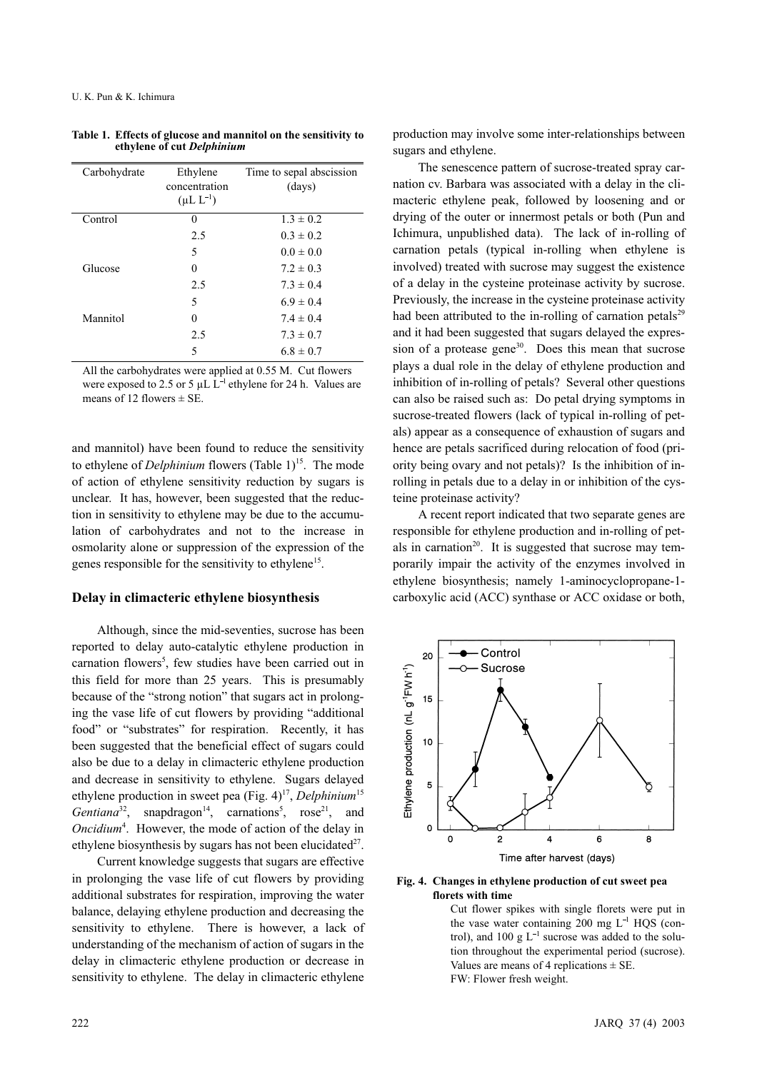| Carbohydrate | Ethylene<br>concentration<br>$(\mu L L^{-1})$ | Time to sepal abscission<br>(days) |
|--------------|-----------------------------------------------|------------------------------------|
| Control      | 0                                             | $1.3 \pm 0.2$                      |
|              | 2.5                                           | $0.3 \pm 0.2$                      |
|              | 5                                             | $0.0 \pm 0.0$                      |
| Glucose      | 0                                             | $7.2 \pm 0.3$                      |
|              | 2.5                                           | $7.3 \pm 0.4$                      |
|              | 5                                             | $6.9 \pm 0.4$                      |
| Mannitol     | 0                                             | $7.4 \pm 0.4$                      |
|              | 2.5                                           | $7.3 \pm 0.7$                      |
|              | 5                                             | $6.8 \pm 0.7$                      |

| Table 1. Effects of glucose and mannitol on the sensitivity to |
|----------------------------------------------------------------|
| ethylene of cut Delphinium                                     |

All the carbohydrates were applied at 0.55 M. Cut flowers were exposed to 2.5 or 5  $\mu$ L L<sup>-1</sup> ethylene for 24 h. Values are means of 12 flowers  $\pm$  SE.

and mannitol) have been found to reduce the sensitivity to ethylene of *Delphinium* flowers (Table 1)<sup>15</sup>. The mode of action of ethylene sensitivity reduction by sugars is unclear. It has, however, been suggested that the reduction in sensitivity to ethylene may be due to the accumulation of carbohydrates and not to the increase in osmolarity alone or suppression of the expression of the genes responsible for the sensitivity to ethylene<sup>15</sup>.

### Delay in climacteric ethylene biosynthesis

Although, since the mid-seventies, sucrose has been reported to delay auto-catalytic ethylene production in carnation flowers<sup>5</sup>, few studies have been carried out in this field for more than 25 years. This is presumably because of the "strong notion" that sugars act in prolonging the vase life of cut flowers by providing "additional food" or "substrates" for respiration. Recently, it has been suggested that the beneficial effect of sugars could also be due to a delay in climacteric ethylene production and decrease in sensitivity to ethylene. Sugars delayed ethylene production in sweet pea (Fig.  $4$ )<sup>17</sup>, Delphinium<sup>15</sup> Gentiana<sup>32</sup>, snapdragon<sup>14</sup>, carnations<sup>5</sup>, rose<sup>21</sup>, and Oncidium<sup>4</sup>. However, the mode of action of the delay in ethylene biosynthesis by sugars has not been elucidated $2^7$ .

Current knowledge suggests that sugars are effective in prolonging the vase life of cut flowers by providing additional substrates for respiration, improving the water balance, delaying ethylene production and decreasing the sensitivity to ethylene. There is however, a lack of understanding of the mechanism of action of sugars in the delay in climacteric ethylene production or decrease in sensitivity to ethylene. The delay in climacteric ethylene production may involve some inter-relationships between sugars and ethylene.

The senescence pattern of sucrose-treated spray carnation cv. Barbara was associated with a delay in the climacteric ethylene peak, followed by loosening and or drying of the outer or innermost petals or both (Pun and Ichimura, unpublished data). The lack of in-rolling of carnation petals (typical in-rolling when ethylene is involved) treated with sucrose may suggest the existence of a delay in the cysteine proteinase activity by sucrose. Previously, the increase in the cysteine proteinase activity had been attributed to the in-rolling of carnation petals<sup>29</sup> and it had been suggested that sugars delayed the expression of a protease gene<sup>30</sup>. Does this mean that sucrose plays a dual role in the delay of ethylene production and inhibition of in-rolling of petals? Several other questions can also be raised such as: Do petal drying symptoms in sucrose-treated flowers (lack of typical in-rolling of petals) appear as a consequence of exhaustion of sugars and hence are petals sacrificed during relocation of food (priority being ovary and not petals)? Is the inhibition of inrolling in petals due to a delay in or inhibition of the cysteine proteinase activity?

A recent report indicated that two separate genes are responsible for ethylene production and in-rolling of petals in carnation<sup>20</sup>. It is suggested that sucrose may temporarily impair the activity of the enzymes involved in ethylene biosynthesis; namely 1-aminocyclopropane-1 carboxylic acid (ACC) synthase or ACC oxidase or both,



#### Fig. 4. Changes in ethylene production of cut sweet pea florets with time

Cut flower spikes with single florets were put in the vase water containing 200 mg  $L^{-1}$  HQS (control), and 100 g  $L^{-1}$  sucrose was added to the solution throughout the experimental period (sucrose). Values are means of 4 replications  $\pm$  SE. FW: Flower fresh weight.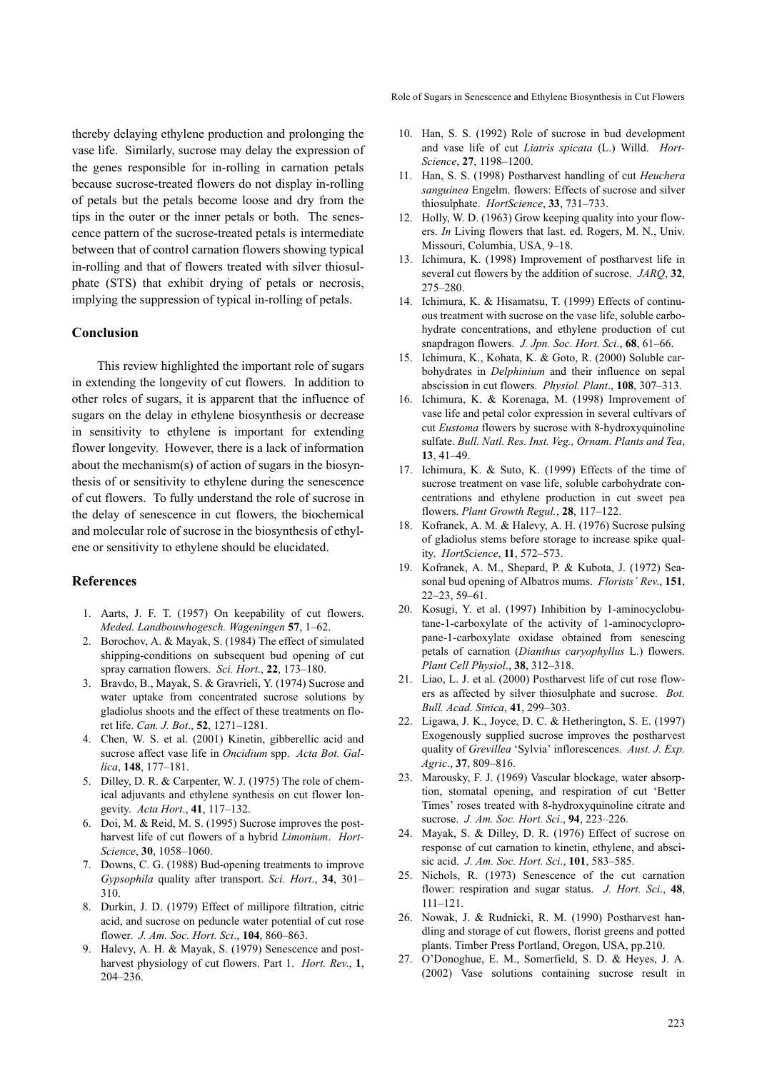thereby delaying ethylene production and prolonging the vase life. Similarly, sucrose may delay the expression of the genes responsible for in-rolling in carnation petals because sucrose-treated flowers do not display in-rolling of petals but the petals become loose and dry from the tips in the outer or the inner petals or both. The senescence pattern of the sucrose-treated petals is intermediate between that of control carnation flowers showing typical in-rolling and that of flowers treated with silver thiosulphate (STS) that exhibit drying of petals or necrosis, implying the suppression of typical in-rolling of petals.

# Conclusion

This review highlighted the important role of sugars in extending the longevity of cut flowers. In addition to other roles of sugars, it is apparent that the influence of sugars on the delay in ethylene biosynthesis or decrease in sensitivity to ethylene is important for extending flower longevity. However, there is a lack of information about the mechanism(s) of action of sugars in the biosynthesis of or sensitivity to ethylene during the senescence of cut flowers. To fully understand the role of sucrose in the delay of senescence in cut flowers, the biochemical and molecular role of sucrose in the biosynthesis of ethylene or sensitivity to ethylene should be elucidated.

## References

- 1. Aarts, J. F. T. (1957) On keepability of cut flowers. Meded. Landbouwhogesch. Wageningen 57, 1–62.
- 2. Borochov, A. & Mayak, S. (1984) The effect of simulated shipping-conditions on subsequent bud opening of cut spray carnation flowers. Sci. Hort., 22, 173-180.
- 3. Bravdo, B., Mayak, S. & Gravrieli, Y. (1974) Sucrose and water uptake from concentrated sucrose solutions by gladiolus shoots and the effect of these treatments on floret life. Can. J. Bot., 52, 1271–1281.
- 4. Chen, W. S. et al. (2001) Kinetin, gibberellic acid and sucrose affect vase life in Oncidium spp. Acta Bot. Gallica, 148, 177–181.
- 5. Dilley, D. R. & Carpenter, W. J. (1975) The role of chemical adjuvants and ethylene synthesis on cut flower longevity. Acta Hort., 41, 117–132.
- 6. Doi, M. & Reid, M. S. (1995) Sucrose improves the postharvest life of cut flowers of a hybrid Limonium. Hort-Science, 30, 1058–1060.
- 7. Downs, C. G. (1988) Bud-opening treatments to improve Gypsophila quality after transport. Sci. Hort., 34, 301-310.
- 8. Durkin, J. D. (1979) Effect of millipore filtration, citric acid, and sucrose on peduncle water potential of cut rose flower. J. Am. Soc. Hort. Sci., 104, 860-863.
- 9. Halevy, A. H. & Mayak, S. (1979) Senescence and postharvest physiology of cut flowers. Part 1. Hort. Rev., 1, 204–236.

Role of Sugars in Senescence and Ethylene Biosynthesis in Cut Flowers

- 10. Han, S. S. (1992) Role of sucrose in bud development and vase life of cut Liatris spicata (L.) Willd. Hort-Science, 27, 1198–1200.
- 11. Han, S. S. (1998) Postharvest handling of cut Heuchera sanguinea Engelm. flowers: Effects of sucrose and silver thiosulphate. HortScience, 33, 731-733.
- 12. Holly, W. D. (1963) Grow keeping quality into your flowers. In Living flowers that last. ed. Rogers, M. N., Univ. Missouri, Columbia, USA, 9–18.
- 13. Ichimura, K. (1998) Improvement of postharvest life in several cut flowers by the addition of sucrose. JARQ, 32, 275–280.
- 14. Ichimura, K. & Hisamatsu, T. (1999) Effects of continuous treatment with sucrose on the vase life, soluble carbohydrate concentrations, and ethylene production of cut snapdragon flowers. J. Jpn. Soc. Hort. Sci., 68, 61–66.
- 15. Ichimura, K., Kohata, K. & Goto, R. (2000) Soluble carbohydrates in Delphinium and their influence on sepal abscission in cut flowers. Physiol. Plant., 108, 307–313.
- 16. Ichimura, K. & Korenaga, M. (1998) Improvement of vase life and petal color expression in several cultivars of cut Eustoma flowers by sucrose with 8-hydroxyquinoline sulfate. Bull. Natl. Res. Inst. Veg., Ornam. Plants and Tea, 13, 41–49.
- 17. Ichimura, K. & Suto, K. (1999) Effects of the time of sucrose treatment on vase life, soluble carbohydrate concentrations and ethylene production in cut sweet pea flowers. Plant Growth Regul., 28, 117–122.
- 18. Kofranek, A. M. & Halevy, A. H. (1976) Sucrose pulsing of gladiolus stems before storage to increase spike quality. HortScience, 11, 572–573.
- 19. Kofranek, A. M., Shepard, P. & Kubota, J. (1972) Seasonal bud opening of Albatros mums. Florists' Rev., 151, 22–23, 59–61.
- 20. Kosugi, Y. et al. (1997) Inhibition by 1-aminocyclobutane-1-carboxylate of the activity of 1-aminocyclopropane-1-carboxylate oxidase obtained from senescing petals of carnation (Dianthus caryophyllus L.) flowers. Plant Cell Physiol., 38, 312–318.
- 21. Liao, L. J. et al. (2000) Postharvest life of cut rose flowers as affected by silver thiosulphate and sucrose. Bot. Bull. Acad. Sinica, 41, 299–303.
- 22. Ligawa, J. K., Joyce, D. C. & Hetherington, S. E. (1997) Exogenously supplied sucrose improves the postharvest quality of Grevillea 'Sylvia' inflorescences. Aust. J. Exp. Agric., 37, 809–816.
- 23. Marousky, F. J. (1969) Vascular blockage, water absorption, stomatal opening, and respiration of cut 'Better Times' roses treated with 8-hydroxyquinoline citrate and sucrose. *J. Am. Soc. Hort. Sci.*, **94**, 223-226.
- 24. Mayak, S. & Dilley, D. R. (1976) Effect of sucrose on response of cut carnation to kinetin, ethylene, and abscisic acid. J. Am. Soc. Hort. Sci., 101, 583–585.
- 25. Nichols, R. (1973) Senescence of the cut carnation flower: respiration and sugar status. J. Hort. Sci., 48, 111–121.
- 26. Nowak, J. & Rudnicki, R. M. (1990) Postharvest handling and storage of cut flowers, florist greens and potted plants. Timber Press Portland, Oregon, USA, pp.210.
- 27. O'Donoghue, E. M., Somerfield, S. D. & Heyes, J. A. (2002) Vase solutions containing sucrose result in